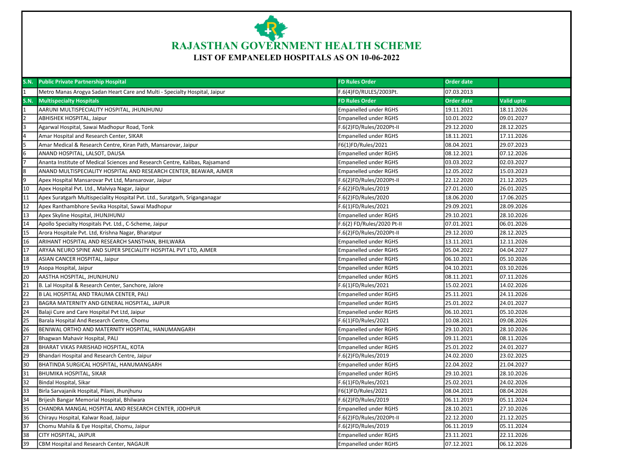

## LIST OF EMPANELED HOSPITALS AS ON 10-06-2022

| <b>S.N.</b>     | <b>Public Private Partnership Hospital</b>                                   | <b>FD Rules Order</b>        | <b>Order date</b> |            |
|-----------------|------------------------------------------------------------------------------|------------------------------|-------------------|------------|
|                 | Metro Manas Arogya Sadan Heart Care and Multi - Specialty Hospital, Jaipur   | F.6(4)FD/RULES/2003Pt.       | 07.03.2013        |            |
| <b>S.N.</b>     | <b>Multispecialty Hospitals</b>                                              | <b>FD Rules Order</b>        | <b>Order date</b> | Valid upto |
|                 | AARUNI MULTISPECIALITY HOSPITAL, JHUNJHUNU                                   | <b>Empanelled under RGHS</b> | 19.11.2021        | 18.11.2026 |
| I2              | <b>ABHISHEK HOSPITAL, Jaipur</b>                                             | <b>Empanelled under RGHS</b> | 10.01.2022        | 09.01.2027 |
| l3              | Agarwal Hospital, Sawai Madhopur Road, Tonk                                  | F.6(2)FD/Rules/2020Pt-II     | 29.12.2020        | 28.12.2025 |
|                 | Amar Hospital and Research Center, SIKAR                                     | <b>Empanelled under RGHS</b> | 18.11.2021        | 17.11.2026 |
|                 | Amar Medical & Research Centre, Kiran Path, Mansarovar, Jaipur               | F6(1)FD/Rules/2021           | 08.04.2021        | 29.07.2023 |
| l6              | ANAND HOSPITAL, LALSOT, DAUSA                                                | <b>Empanelled under RGHS</b> | 08.12.2021        | 07.12.2026 |
|                 | Ananta Institute of Medical Sciences and Research Centre, Kalibas, Rajsamand | <b>Empanelled under RGHS</b> | 03.03.2022        | 02.03.2027 |
| 8               | ANAND MULTISPECIALITY HOSPITAL AND RESEARCH CENTER, BEAWAR, AJMER            | <b>Empanelled under RGHS</b> | 12.05.2022        | 15.03.2023 |
| l9              | Apex Hospital Mansarovar Pvt Ltd, Mansarovar, Jaipur                         | F.6(2)FD/Rules/2020Pt-II     | 22.12.2020        | 21.12.2025 |
| 10              | Apex Hospital Pvt. Ltd., Malviya Nagar, Jaipur                               | F.6(2)FD/Rules/2019          | 27.01.2020        | 26.01.2025 |
| 11              | Apex Suratgarh Multispeciality Hospital Pvt. Ltd., Suratgarh, Sriganganagar  | F.6(2)FD/Rules/2020          | 18.06.2020        | 17.06.2025 |
| 12              | Apex Ranthambhore Sevika Hospital, Sawai Madhopur                            | F.6(1)FD/Rules/2021          | 29.09.2021        | 28.09.2026 |
| 13              | Apex Skyline Hospital, JHUNJHUNU                                             | <b>Empanelled under RGHS</b> | 29.10.2021        | 28.10.2026 |
| 14              | Apollo Specialty Hospitals Pvt. Ltd., C-Scheme, Jaipur                       | F.6(2) FD/Rules/2020 Pt-II   | 07.01.2021        | 06.01.2026 |
| 15              | Arora Hospitale Pvt. Ltd, Krishna Nagar, Bharatpur                           | F.6(2)FD/Rules/2020Pt-II     | 29.12.2020        | 28.12.2025 |
| 16              | ARIHANT HOSPITAL AND RESEARCH SANSTHAN, BHILWARA                             | <b>Empanelled under RGHS</b> | 13.11.2021        | 12.11.2026 |
| 17              | ARYAA NEURO SPINE AND SUPER SPECIALITY HOSPITAL PVT LTD, AJMER               | <b>Empanelled under RGHS</b> | 05.04.2022        | 04.04.2027 |
| 18              | ASIAN CANCER HOSPITAL, Jaipur                                                | <b>Empanelled under RGHS</b> | 06.10.2021        | 05.10.2026 |
| 19              | Asopa Hospital, Jaipur                                                       | <b>Empanelled under RGHS</b> | 04.10.2021        | 03.10.2026 |
| 20              | AASTHA HOSPITAL, JHUNJHUNU                                                   | <b>Empanelled under RGHS</b> | 08.11.2021        | 07.11.2026 |
| 21              | B. Lal Hospital & Research Center, Sanchore, Jalore                          | F.6(1)FD/Rules/2021          | 15.02.2021        | 14.02.2026 |
| 22              | B LAL HOSPITAL AND TRAUMA CENTER, PALI                                       | <b>Empanelled under RGHS</b> | 25.11.2021        | 24.11.2026 |
| $\overline{23}$ | BAGRA MATERNITY AND GENERAL HOSPITAL, JAIPUR                                 | <b>Empanelled under RGHS</b> | 25.01.2022        | 24.01.2027 |
| 24              | Balaji Cure and Care Hospital Pvt Ltd, Jaipur                                | <b>Empanelled under RGHS</b> | 06.10.2021        | 05.10.2026 |
| 25              | Barala Hospital And Research Centre, Chomu                                   | F.6(1)FD/Rules/2021          | 10.08.2021        | 09.08.2026 |
| 26              | BENIWAL ORTHO AND MATERNITY HOSPITAL, HANUMANGARH                            | <b>Empanelled under RGHS</b> | 29.10.2021        | 28.10.2026 |
| $\overline{27}$ | Bhagwan Mahavir Hospital, PALI                                               | <b>Empanelled under RGHS</b> | 09.11.2021        | 08.11.2026 |
| 28              | BHARAT VIKAS PARISHAD HOSPITAL, KOTA                                         | <b>Empanelled under RGHS</b> | 25.01.2022        | 24.01.2027 |
| 29              | Bhandari Hospital and Research Centre, Jaipur                                | F.6(2)FD/Rules/2019          | 24.02.2020        | 23.02.2025 |
| 30              | BHATINDA SURGICAL HOSPITAL, HANUMANGARH                                      | <b>Empanelled under RGHS</b> | 22.04.2022        | 21.04.2027 |
| 31              | <b>BHUMIKA HOSPITAL, SIKAR</b>                                               | <b>Empanelled under RGHS</b> | 29.10.2021        | 28.10.2026 |
| $\overline{32}$ | Bindal Hospital, Sikar                                                       | F.6(1)FD/Rules/2021          | 25.02.2021        | 24.02.2026 |
| 33              | Birla Sarvajanik Hospital, Pilani, Jhunjhunu                                 | F6(1)FD/Rules/2021           | 08.04.2021        | 08.04.2026 |
| 34              | Brijesh Bangar Memorial Hospital, Bhilwara                                   | F.6(2)FD/Rules/2019          | 06.11.2019        | 05.11.2024 |
| 35              | CHANDRA MANGAL HOSPITAL AND RESEARCH CENTER, JODHPUR                         | <b>Empanelled under RGHS</b> | 28.10.2021        | 27.10.2026 |
| 36              | Chirayu Hospital, Kalwar Road, Jaipur                                        | F.6(2)FD/Rules/2020Pt-II     | 22.12.2020        | 21.12.2025 |
| $\overline{37}$ | Chomu Mahila & Eye Hospital, Chomu, Jaipur                                   | F.6(2)FD/Rules/2019          | 06.11.2019        | 05.11.2024 |
| 38              | <b>CITY HOSPITAL, JAIPUR</b>                                                 | <b>Empanelled under RGHS</b> | 23.11.2021        | 22.11.2026 |
| 39              | CBM Hospital and Research Center, NAGAUR                                     | <b>Empanelled under RGHS</b> | 07.12.2021        | 06.12.2026 |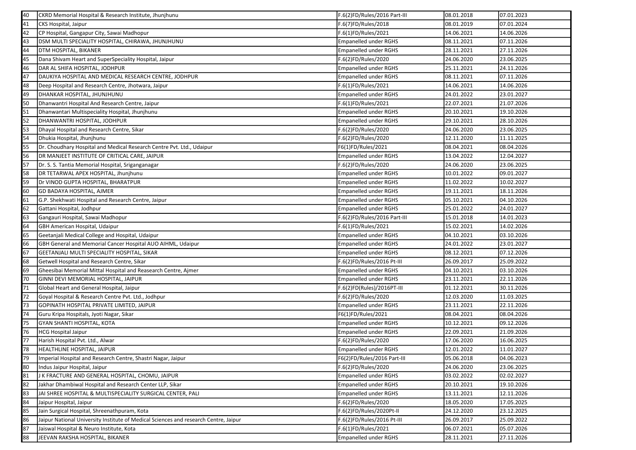| 40 | CKRD Memorial Hospital & Research Institute, Jhunjhunu                               | F.6(2)FD/Rules/2016 Part-III | 08.01.2018 | 07.01.2023 |
|----|--------------------------------------------------------------------------------------|------------------------------|------------|------------|
| 41 | CKS Hospital, Jaipur                                                                 | F.6(7)FD/Rules/2018          | 08.01.2019 | 07.01.2024 |
| 42 | CP Hospital, Gangapur City, Sawai Madhopur                                           | F.6(1)FD/Rules/2021          | 14.06.2021 | 14.06.2026 |
| 43 | DSM MULTI SPECIALITY HOSPITAL, CHIRAWA, JHUNJHUNU                                    | <b>Empanelled under RGHS</b> | 08.11.2021 | 07.11.2026 |
| 44 | DTM HOSPITAL, BIKANER                                                                | <b>Empanelled under RGHS</b> | 28.11.2021 | 27.11.2026 |
| 45 | Dana Shivam Heart and SuperSpeciality Hospital, Jaipur                               | F.6(2)FD/Rules/2020          | 24.06.2020 | 23.06.2025 |
| 46 | DAR AL SHIFA HOSPITAL, JODHPUR                                                       | <b>Empanelled under RGHS</b> | 25.11.2021 | 24.11.2026 |
| 47 | DAUKIYA HOSPITAL AND MEDICAL RESEARCH CENTRE, JODHPUR                                | <b>Empanelled under RGHS</b> | 08.11.2021 | 07.11.2026 |
| 48 | Deep Hospital and Research Centre, Jhotwara, Jaipur                                  | F.6(1)FD/Rules/2021          | 14.06.2021 | 14.06.2026 |
| 49 | DHANKAR HOSPITAL, JHUNJHUNU                                                          | <b>Empanelled under RGHS</b> | 24.01.2022 | 23.01.2027 |
| 50 | Dhanwantri Hospital And Research Centre, Jaipur                                      | F.6(1)FD/Rules/2021          | 22.07.2021 | 21.07.2026 |
| 51 | Dhanwantari Multispeciality Hospital, Jhunjhunu                                      | <b>Empanelled under RGHS</b> | 20.10.2021 | 19.10.2026 |
| 52 | DHANWANTRI HOSPITAL, JODHPUR                                                         | <b>Empanelled under RGHS</b> | 29.10.2021 | 28.10.2026 |
| 53 | Dhayal Hospital and Research Centre, Sikar                                           | F.6(2)FD/Rules/2020          | 24.06.2020 | 23.06.2025 |
| 54 | Dhukia Hospital, Jhunjhunu                                                           | F.6(2)FD/Rules/2020          | 12.11.2020 | 11.11.2025 |
| 55 | Dr. Choudhary Hospital and Medical Research Centre Pvt. Ltd., Udaipur                | F6(1)FD/Rules/2021           | 08.04.2021 | 08.04.2026 |
| 56 | DR MANJEET INSTITUTE OF CRITICAL CARE, JAIPUR                                        | <b>Empanelled under RGHS</b> | 13.04.2022 | 12.04.2027 |
| 57 | Dr. S. S. Tantia Memorial Hospital, Sriganganagar                                    | F.6(2)FD/Rules/2020          | 24.06.2020 | 23.06.2025 |
| 58 | DR TETARWAL APEX HOSPITAL, Jhunjhunu                                                 | <b>Empanelled under RGHS</b> | 10.01.2022 | 09.01.2027 |
| 59 | Dr VINOD GUPTA HOSPITAL, BHARATPUR                                                   | <b>Empanelled under RGHS</b> | 11.02.2022 | 10.02.2027 |
| 60 | <b>GD BADAYA HOSPITAL, AJMER</b>                                                     | <b>Empanelled under RGHS</b> | 19.11.2021 | 18.11.2026 |
| 61 | G.P. Shekhwati Hospital and Research Centre, Jaipur                                  | <b>Empanelled under RGHS</b> | 05.10.2021 | 04.10.2026 |
| 62 | Gattani Hospital, Jodhpur                                                            | <b>Empanelled under RGHS</b> | 25.01.2022 | 24.01.2027 |
| 63 | Gangauri Hospital, Sawai Madhopur                                                    | F.6(2)FD/Rules/2016 Part-III | 15.01.2018 | 14.01.2023 |
| 64 | <b>GBH American Hospital, Udaipur</b>                                                | F.6(1)FD/Rules/2021          | 15.02.2021 | 14.02.2026 |
| 65 | Geetanjali Medical College and Hospital, Udaipur                                     | <b>Empanelled under RGHS</b> | 04.10.2021 | 03.10.2026 |
| 66 | GBH General and Memorial Cancer Hospital AUO AIHML, Udaipur                          | <b>Empanelled under RGHS</b> | 24.01.2022 | 23.01.2027 |
| 67 | <b>GEETANJALI MULTI SPECIALITY HOSPITAL, SIKAR</b>                                   | <b>Empanelled under RGHS</b> | 08.12.2021 | 07.12.2026 |
| 68 | Getwell Hospital and Research Centre, Sikar                                          | F.6(2)FD/Rules/2016 Pt-III   | 26.09.2017 | 25.09.2022 |
| 69 | Gheesibai Memorial Mittal Hospital and Reasearch Centre, Ajmer                       | <b>Empanelled under RGHS</b> | 04.10.2021 | 03.10.2026 |
| 70 | GINNI DEVI MEMORIAL HOSPITAL, JAIPUR                                                 | <b>Empanelled under RGHS</b> | 23.11.2021 | 22.11.2026 |
| 71 | Global Heart and General Hospital, Jaipur                                            | F.6(2)FD(Rules)/2016PT-III   | 01.12.2021 | 30.11.2026 |
| 72 | Goyal Hospital & Research Centre Pvt. Ltd., Jodhpur                                  | F.6(2)FD/Rules/2020          | 12.03.2020 | 11.03.2025 |
| 73 | GOPINATH HOSPITAL PRIVATE LIMITED, JAIPUR                                            | <b>Empanelled under RGHS</b> | 23.11.2021 | 22.11.2026 |
| 74 | Guru Kripa Hospitals, Jyoti Nagar, Sikar                                             | F6(1)FD/Rules/2021           | 08.04.2021 | 08.04.2026 |
| 75 | <b>GYAN SHANTI HOSPITAL, KOTA</b>                                                    | <b>Empanelled under RGHS</b> | 10.12.2021 | 09.12.2026 |
| 76 | <b>HCG Hospital Jaipur</b>                                                           | <b>Empanelled under RGHS</b> | 22.09.2021 | 21.09.2026 |
| 77 | Harish Hospital Pvt. Ltd., Alwar                                                     | F.6(2)FD/Rules/2020          | 17.06.2020 | 16.06.2025 |
|    | HEALTHLINE HOSPITAL, JAIPUR                                                          | <b>Empanelled under RGHS</b> | 12.01.2022 | 11.01.2027 |
| 79 | Imperial Hospital and Research Centre, Shastri Nagar, Jaipur                         | F6(2)FD/Rules/2016 Part-III  | 05.06.2018 | 04.06.2023 |
| 80 | Indus Jaipur Hospital, Jaipur                                                        | F.6(2)FD/Rules/2020          | 24.06.2020 | 23.06.2025 |
| 81 | J K FRACTURE AND GENERAL HOSPITAL, CHOMU, JAIPUR                                     | <b>Empanelled under RGHS</b> | 03.02.2022 | 02.02.2027 |
| 82 | Jakhar Dhambiwal Hospital and Research Center LLP, Sikar                             | <b>Empanelled under RGHS</b> | 20.10.2021 | 19.10.2026 |
| 83 | JAI SHREE HOSPITAL & MULTISPECIALITY SURGICAL CENTER, PALI                           | <b>Empanelled under RGHS</b> | 13.11.2021 | 12.11.2026 |
| 84 | Jaipur Hospital, Jaipur                                                              | F.6(2)FD/Rules/2020          | 18.05.2020 | 17.05.2025 |
| 85 | Jain Surgical Hospital, Shreenathpuram, Kota                                         | F.6(2)FD/Rules/2020Pt-II     | 24.12.2020 | 23.12.2025 |
| 86 | Jaipur National University Institute of Medical Sciences and research Centre, Jaipur | F.6(2)FD/Rules/2016 Pt-III   | 26.09.2017 | 25.09.2022 |
| 87 | Jaiswal Hospital & Neuro Institute, Kota                                             | F.6(1)FD/Rules/2021          | 06.07.2021 | 05.07.2026 |
| 88 | JEEVAN RAKSHA HOSPITAL, BIKANER                                                      | <b>Empanelled under RGHS</b> | 28.11.2021 | 27.11.2026 |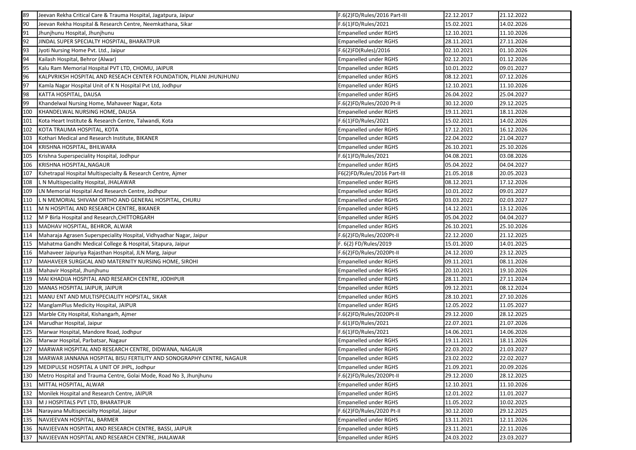| 89               | Jeevan Rekha Critical Care & Trauma Hospital, Jagatpura, Jaipur      | F.6(2)FD/Rules/2016 Part-III | 22.12.2017 | 21.12.2022 |
|------------------|----------------------------------------------------------------------|------------------------------|------------|------------|
| 90               | Jeevan Rekha Hospital & Research Centre, Neemkathana, Sikar          | F.6(1)FD/Rules/2021          | 15.02.2021 | 14.02.2026 |
| 91               | Jhunjhunu Hospital, Jhunjhunu                                        | <b>Empanelled under RGHS</b> | 12.10.2021 | 11.10.2026 |
| 92               | JINDAL SUPER SPECIALTY HOSPITAL, BHARATPUR                           | <b>Empanelled under RGHS</b> | 28.11.2021 | 27.11.2026 |
| 93               | Jyoti Nursing Home Pvt. Ltd., Jaipur                                 | F.6(2)FD(Rules)/2016         | 02.10.2021 | 01.10.2026 |
| 94               | Kailash Hospital, Behror (Alwar)                                     | <b>Empanelled under RGHS</b> | 02.12.2021 | 01.12.2026 |
| 95               | Kalu Ram Memorial Hospital PVT LTD, CHOMU, JAIPUR                    | <b>Empanelled under RGHS</b> | 10.01.2022 | 09.01.2027 |
| 96               | KALPVRIKSH HOSPITAL AND RESEACH CENTER FOUNDATION, PILANI JHUNJHUNU  | <b>Empanelled under RGHS</b> | 08.12.2021 | 07.12.2026 |
| 97               | Kamla Nagar Hospital Unit of K N Hospital Pvt Ltd, Jodhpur           | <b>Empanelled under RGHS</b> | 12.10.2021 | 11.10.2026 |
| 98               | KATTA HOSPITAL, DAUSA                                                | <b>Empanelled under RGHS</b> | 26.04.2022 | 25.04.2027 |
| 99               | Khandelwal Nursing Home, Mahaveer Nagar, Kota                        | F.6(2)FD/Rules/2020 Pt-II    | 30.12.2020 | 29.12.2025 |
| 100              | KHANDELWAL NURSING HOME, DAUSA                                       | <b>Empanelled under RGHS</b> | 19.11.2021 | 18.11.2026 |
| 101              | Kota Heart Institute & Research Centre, Talwandi, Kota               | F.6(1)FD/Rules/2021          | 15.02.2021 | 14.02.2026 |
| 102              | KOTA TRAUMA HOSPITAL, KOTA                                           | <b>Empanelled under RGHS</b> | 17.12.2021 | 16.12.2026 |
| 103              | Kothari Medical and Research Institute, BIKANER                      | <b>Empanelled under RGHS</b> | 22.04.2022 | 21.04.2027 |
| 104              | KRISHNA HOSPITAL, BHILWARA                                           | <b>Empanelled under RGHS</b> | 26.10.2021 | 25.10.2026 |
| 105              | Krishna Superspeciality Hospital, Jodhpur                            | F.6(1)FD/Rules/2021          | 04.08.2021 | 03.08.2026 |
| 106              | KRISHNA HOSPITAL, NAGAUR                                             | <b>Empanelled under RGHS</b> | 05.04.2022 | 04.04.2027 |
| 107              | Kshetrapal Hospital Multispecialty & Research Centre, Ajmer          | F6(2)FD/Rules/2016 Part-III  | 21.05.2018 | 20.05.2023 |
| 108              | L N Multispeciality Hospital, JHALAWAR                               | <b>Empanelled under RGHS</b> | 08.12.2021 | 17.12.2026 |
| 109              | LN Memorial Hospital And Research Centre, Jodhpur                    | <b>Empanelled under RGHS</b> | 10.01.2022 | 09.01.2027 |
| 110              | L N MEMORIAL SHIVAM ORTHO AND GENERAL HOSPITAL, CHURU                | <b>Empanelled under RGHS</b> | 03.03.2022 | 02.03.2027 |
| 111              | M N HOSPITAL AND RESEARCH CENTRE, BIKANER                            | <b>Empanelled under RGHS</b> | 14.12.2021 | 13.12.2026 |
| 112              | M P Birla Hospital and Research, CHITTORGARH                         | <b>Empanelled under RGHS</b> | 05.04.2022 | 04.04.2027 |
| 113              | MADHAV HOSPITAL, BEHROR, ALWAR                                       | <b>Empanelled under RGHS</b> | 26.10.2021 | 25.10.2026 |
| 114              | Maharaja Agrasen Superspeciality Hospital, Vidhyadhar Nagar, Jaipur  | F.6(2)FD/Rules/2020Pt-II     | 22.12.2020 | 21.12.2025 |
| 115              | Mahatma Gandhi Medical College & Hospital, Sitapura, Jaipur          | F. 6(2) FD/Rules/2019        | 15.01.2020 | 14.01.2025 |
| 116              | Mahaveer Jaipuriya Rajasthan Hospital, JLN Marg, Jaipur              | F.6(2)FD/Rules/2020Pt-II     | 24.12.2020 | 23.12.2025 |
| 117              | MAHAVEER SURGICAL AND MATERNITY NURSING HOME, SIROHI                 | <b>Empanelled under RGHS</b> | 09.11.2021 | 08.11.2026 |
| 118              | Mahavir Hospital, Jhunjhunu                                          | <b>Empanelled under RGHS</b> | 20.10.2021 | 19.10.2026 |
| 119              | MAI KHADIJA HOSPITAL AND RESEARCH CENTRE, JODHPUR                    | <b>Empanelled under RGHS</b> | 28.11.2021 | 27.11.2024 |
| 120              | MANAS HOSPITAL JAIPUR, JAIPUR                                        | <b>Empanelled under RGHS</b> | 09.12.2021 | 08.12.2024 |
| 121              | MANU ENT AND MULTISPECIALITY HOPSITAL, SIKAR                         | <b>Empanelled under RGHS</b> | 28.10.2021 | 27.10.2026 |
| 122              | ManglamPlus Medicity Hospital, JAIPUR                                | <b>Empanelled under RGHS</b> | 12.05.2022 | 11.05.2027 |
| 123              | Marble City Hospital, Kishangarh, Ajmer                              | F.6(2)FD/Rules/2020Pt-II     | 29.12.2020 | 28.12.2025 |
| 124              | Marudhar Hospital, Jaipur                                            | F.6(1)FD/Rules/2021          | 22.07.2021 | 21.07.2026 |
| 125              | Marwar Hospital, Mandore Road, Jodhpur                               | F.6(1)FD/Rules/2021          | 14.06.2021 | 14.06.2026 |
| 126              | Marwar Hospital, Parbatsar, Nagaur                                   | <b>Empanelled under RGHS</b> | 19.11.2021 | 18.11.2026 |
| $\overline{127}$ | MARWAR HOSPITAL AND RESEARCH CENTRE, DIDWANA, NAGAUR                 | <b>Empanelled under RGHS</b> | 22.03.2022 | 21.03.2027 |
| 128              | MARWAR JANNANA HOSPITAL BISU FERTILITY AND SONOGRAPHY CENTRE, NAGAUR | <b>Empanelled under RGHS</b> | 23.02.2022 | 22.02.2027 |
| 129              | MEDIPULSE HOSPITAL A UNIT OF JHPL, Jodhpur                           | Empanelled under RGHS        | 21.09.2021 | 20.09.2026 |
| 130              | Metro Hospital and Trauma Centre, Golai Mode, Road No 3, Jhunjhunu   | F.6(2)FD/Rules/2020Pt-II     | 29.12.2020 | 28.12.2025 |
| 131              | MITTAL HOSPITAL, ALWAR                                               | <b>Empanelled under RGHS</b> | 12.10.2021 | 11.10.2026 |
| 132              | Monilek Hospital and Research Centre, JAIPUR                         | <b>Empanelled under RGHS</b> | 12.01.2022 | 11.01.2027 |
| 133              | M J HOSPITALS PVT LTD, BHARATPUR                                     | <b>Empanelled under RGHS</b> | 11.05.2022 | 10.02.2025 |
| 134              | Narayana Multispecialty Hospital, Jaipur                             | F.6(2)FD/Rules/2020 Pt-II    | 30.12.2020 | 29.12.2025 |
| 135              | NAVJEEVAN HOSPITAL, BARMER                                           | <b>Empanelled under RGHS</b> | 13.11.2021 | 12.11.2026 |
| 136              | NAVJEEVAN HOSPITAL AND RESEARCH CENTRE, BASSI, JAIPUR                | <b>Empanelled under RGHS</b> | 23.11.2021 | 22.11.2026 |
| 137              | NAVJEEVAN HOSPITAL AND RESEARCH CENTRE, JHALAWAR                     | <b>Empanelled under RGHS</b> | 24.03.2022 | 23.03.2027 |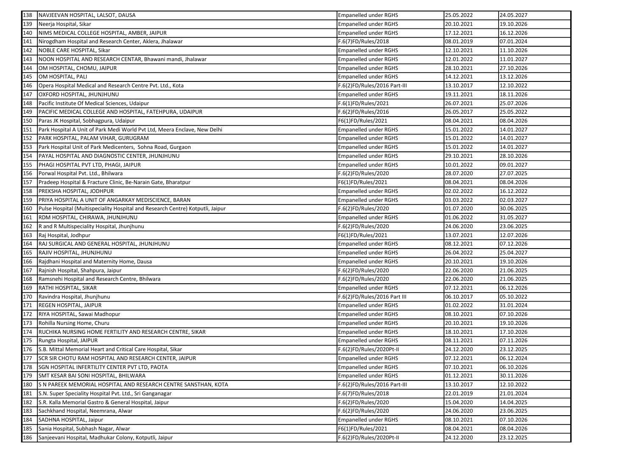| 138 | NAVJEEVAN HOSPITAL, LALSOT, DAUSA                                              | Empanelled under RGHS        | 25.05.2022 | 24.05.2027 |
|-----|--------------------------------------------------------------------------------|------------------------------|------------|------------|
| 139 | Neerja Hospital, Sikar                                                         | <b>Empanelled under RGHS</b> | 20.10.2021 | 19.10.2026 |
| 140 | NIMS MEDICAL COLLEGE HOSPITAL, AMBER, JAIPUR                                   | <b>Empanelled under RGHS</b> | 17.12.2021 | 16.12.2026 |
| 141 | Nirogdham Hospital and Research Center, Aklera, Jhalawar                       | F.6(7)FD/Rules/2018          | 08.01.2019 | 07.01.2024 |
| 142 | NOBLE CARE HOSPITAL, Sikar                                                     | Empanelled under RGHS        | 12.10.2021 | 11.10.2026 |
| 143 | NOON HOSPITAL AND RESEARCH CENTAR, Bhawani mandi, Jhalawar                     | <b>Empanelled under RGHS</b> | 12.01.2022 | 11.01.2027 |
| 144 | OM HOSPITAL, CHOMU, JAIPUR                                                     | Empanelled under RGHS        | 28.10.2021 | 27.10.2026 |
| 145 | OM HOSPITAL, PALI                                                              | <b>Empanelled under RGHS</b> | 14.12.2021 | 13.12.2026 |
| 146 | Opera Hospital Medical and Research Centre Pvt. Ltd., Kota                     | F.6(2)FD/Rules/2016 Part-III | 13.10.2017 | 12.10.2022 |
| 147 | OXFORD HOSPITAL, JHUNJHUNU                                                     | Empanelled under RGHS        | 19.11.2021 | 18.11.2026 |
| 148 | Pacific Institute Of Medical Sciences, Udaipur                                 | F.6(1)FD/Rules/2021          | 26.07.2021 | 25.07.2026 |
| 149 | PACIFIC MEDICAL COLLEGE AND HOSPITAL, FATEHPURA, UDAIPUR                       | F.6(2)FD/Rules/2016          | 26.05.2017 | 25.05.2022 |
| 150 | Paras JK Hospital, Sobhagpura, Udaipur                                         | F6(1)FD/Rules/2021           | 08.04.2021 | 08.04.2026 |
| 151 | Park Hospital A Unit of Park Medi World Pvt Ltd, Meera Enclave, New Delhi      | <b>Empanelled under RGHS</b> | 15.01.2022 | 14.01.2027 |
| 152 | PARK HOSPITAL, PALAM VIHAR, GURUGRAM                                           | Empanelled under RGHS        | 15.01.2022 | 14.01.2027 |
| 153 | Park Hospital Unit of Park Medicenters, Sohna Road, Gurgaon                    | <b>Empanelled under RGHS</b> | 15.01.2022 | 14.01.2027 |
| 154 | PAYAL HOSPITAL AND DIAGNOSTIC CENTER, JHUNJHUNU                                | Empanelled under RGHS        | 29.10.2021 | 28.10.2026 |
| 155 | PHAGI HOSPITAL PVT LTD, PHAGI, JAIPUR                                          | Empanelled under RGHS        | 10.01.2022 | 09.01.2027 |
| 156 | Porwal Hospital Pvt. Ltd., Bhilwara                                            | F.6(2)FD/Rules/2020          | 28.07.2020 | 27.07.2025 |
| 157 | Pradeep Hospital & Fracture Clinic, Be-Narain Gate, Bharatpur                  | F6(1)FD/Rules/2021           | 08.04.2021 | 08.04.2026 |
| 158 | PREKSHA HOSPITAL, JODHPUR                                                      | <b>Empanelled under RGHS</b> | 02.02.2022 | 16.12.2022 |
| 159 | PRIYA HOSPITAL A UNIT OF ANGARKAY MEDISCIENCE, BARAN                           | <b>Empanelled under RGHS</b> | 03.03.2022 | 02.03.2027 |
| 160 | Pulse Hospital (Muitispeciality Hospital and Research Centre) Kotputli, Jaipur | F.6(2)FD/Rules/2020          | 01.07.2020 | 30.06.2025 |
| 161 | RDM HOSPITAL, CHIRAWA, JHUNJHUNU                                               | Empanelled under RGHS        | 01.06.2022 | 31.05.2027 |
| 162 | R and R Multispeciality Hospital, Jhunjhunu                                    | F.6(2)FD/Rules/2020          | 24.06.2020 | 23.06.2025 |
| 163 | Raj Hospital, Jodhpur                                                          | F6(1)FD/Rules/2021           | 13.07.2021 | 12.07.2026 |
| 164 | RAJ SURGICAL AND GENERAL HOSPITAL, JHUNJHUNU                                   | Empanelled under RGHS        | 08.12.2021 | 07.12.2026 |
| 165 | RAJIV HOSPITAL, JHUNJHUNU                                                      | <b>Empanelled under RGHS</b> | 26.04.2022 | 25.04.2027 |
| 166 | Rajdhani Hospital and Maternity Home, Dausa                                    | <b>Empanelled under RGHS</b> | 20.10.2021 | 19.10.2026 |
| 167 | Rajnish Hospital, Shahpura, Jaipur                                             | F.6(2)FD/Rules/2020          | 22.06.2020 | 21.06.2025 |
| 168 | Ramsnehi Hospital and Research Centre, Bhilwara                                | F.6(2)FD/Rules/2020          | 22.06.2020 | 21.06.2025 |
| 169 | RATHI HOSPITAL, SIKAR                                                          | <b>Empanelled under RGHS</b> | 07.12.2021 | 06.12.2026 |
| 170 | Ravindra Hospital, Jhunjhunu                                                   | F.6(2)FD/Rules/2016 Part III | 06.10.2017 | 05.10.2022 |
| 171 | REGEN HOSPITAL, JAIPUR                                                         | <b>Empanelled under RGHS</b> | 01.02.2022 | 31.01.2024 |
| 172 | RIYA HOSPITAL, Sawai Madhopur                                                  | <b>Empanelled under RGHS</b> | 08.10.2021 | 07.10.2026 |
| 173 | Rohilla Nursing Home, Churu                                                    | <b>Empanelled under RGHS</b> | 20.10.2021 | 19.10.2026 |
| 174 | RUCHIKA NURSING HOME FERTILITY AND RESEARCH CENTRE, SIKAR                      | Empanelled under RGHS        | 18.10.2021 | 17.10.2026 |
| 175 | Rungta Hospital, JAIPUR                                                        | <b>Empanelled under RGHS</b> | 08.11.2021 | 07.11.2026 |
| 176 | S.B. Mittal Memorial Heart and Critical Care Hospital, Sikar                   | F.6(2)FD/Rules/2020Pt-II     | 24.12.2020 | 23.12.2025 |
| 177 | SCR SIR CHOTU RAM HOSPITAL AND RESEARCH CENTER, JAIPUR                         | Empanelled under RGHS        | 07.12.2021 | 06.12.2024 |
| 178 | SGN HOSPITAL INFERTILITY CENTER PVT LTD, PAOTA                                 | Empanelled under RGHS        | 07.10.2021 | 06.10.2026 |
| 179 | SMT KESAR BAI SONI HOSPITAL, BHILWARA                                          | <b>Empanelled under RGHS</b> | 01.12.2021 | 30.11.2026 |
| 180 | S N PAREEK MEMORIAL HOSPITAL AND RESEARCH CENTRE SANSTHAN, KOTA                | F.6(2)FD/Rules/2016 Part-III | 13.10.2017 | 12.10.2022 |
| 181 | S.N. Super Speciality Hospital Pvt. Ltd., Sri Ganganagar                       | F.6(7)FD/Rules/2018          | 22.01.2019 | 21.01.2024 |
| 182 | S.R. Kalla Memorial Gastro & General Hospital, Jaipur                          | F.6(2)FD/Rules/2020          | 15.04.2020 | 14.04.2025 |
| 183 | Sachkhand Hospital, Neemrana, Alwar                                            | F.6(2)FD/Rules/2020          | 24.06.2020 | 23.06.2025 |
| 184 | SADHNA HOSPITAL, Jaipur                                                        | <b>Empanelled under RGHS</b> | 08.10.2021 | 07.10.2026 |
| 185 | Sania Hospital, Subhash Nagar, Alwar                                           | F6(1)FD/Rules/2021           | 08.04.2021 | 08.04.2026 |
| 186 | Sanjeevani Hospital, Madhukar Colony, Kotputli, Jaipur                         | F.6(2)FD/Rules/2020Pt-II     | 24.12.2020 | 23.12.2025 |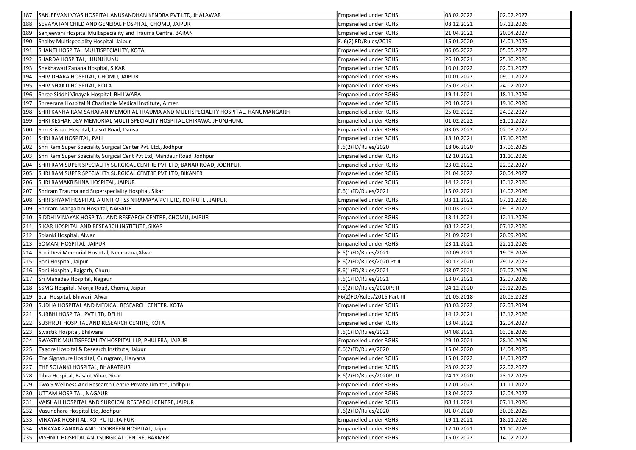| 187 | SANJEEVANI VYAS HOSPITAL ANUSANDHAN KENDRA PVT LTD, JHALAWAR                     | <b>Empanelled under RGHS</b> | 03.02.2022 | 02.02.2027 |
|-----|----------------------------------------------------------------------------------|------------------------------|------------|------------|
| 188 | SEVAYATAN CHILD AND GENERAL HOSPITAL, CHOMU, JAIPUR                              | <b>Empanelled under RGHS</b> | 08.12.2021 | 07.12.2026 |
| 189 | Sanjeevani Hospital Multispeciality and Trauma Centre, BARAN                     | <b>Empanelled under RGHS</b> | 21.04.2022 | 20.04.2027 |
| 190 | Shalby Multispeciality Hospital, Jaipur                                          | F. 6(2) FD/Rules/2019        | 15.01.2020 | 14.01.2025 |
| 191 | SHANTI HOSPITAL MULTISPECIALITY, KOTA                                            | <b>Empanelled under RGHS</b> | 06.05.2022 | 05.05.2027 |
| 192 | SHARDA HOSPITAL, JHUNJHUNU                                                       | <b>Empanelled under RGHS</b> | 26.10.2021 | 25.10.2026 |
| 193 | Shekhawati Zanana Hospital, SIKAR                                                | <b>Empanelled under RGHS</b> | 10.01.2022 | 02.01.2027 |
| 194 | SHIV DHARA HOSPITAL, CHOMU, JAIPUR                                               | <b>Empanelled under RGHS</b> | 10.01.2022 | 09.01.2027 |
| 195 | SHIV SHAKTI HOSPITAL, KOTA                                                       | <b>Empanelled under RGHS</b> | 25.02.2022 | 24.02.2027 |
| 196 | Shree Siddhi Vinayak Hospital, BHILWARA                                          | <b>Empanelled under RGHS</b> | 19.11.2021 | 18.11.2026 |
| 197 | Shreerana Hospital N Charitable Medical Institute, Ajmer                         | <b>Empanelled under RGHS</b> | 20.10.2021 | 19.10.2026 |
| 198 | SHRI KANHA RAM SAHARAN MEMORIAL TRAUMA AND MULTISPECIALITY HOSPITAL, HANUMANGARH | <b>Empanelled under RGHS</b> | 25.02.2022 | 24.02.2027 |
| 199 | SHRI KESHAR DEV MEMORIAL MULTI SPECIALITY HOSPITAL, CHIRAWA, JHUNJHUNU           | <b>Empanelled under RGHS</b> | 01.02.2022 | 31.01.2027 |
| 200 | Shri Krishan Hospital, Lalsot Road, Dausa                                        | <b>Empanelled under RGHS</b> | 03.03.2022 | 02.03.2027 |
| 201 | SHRI RAM HOSPITAL, PALI                                                          | <b>Empanelled under RGHS</b> | 18.10.2021 | 17.10.2026 |
| 202 | Shri Ram Super Speciality Surgical Center Pvt. Ltd., Jodhpur                     | F.6(2)FD/Rules/2020          | 18.06.2020 | 17.06.2025 |
| 203 | Shri Ram Super Speciality Surgical Cent Pvt Ltd, Mandaur Road, Jodhpur           | Empanelled under RGHS        | 12.10.2021 | 11.10.2026 |
| 204 | SHRI RAM SUPER SPECIALITY SURGICAL CENTRE PVT LTD, BANAR ROAD, JODHPUR           | <b>Empanelled under RGHS</b> | 23.02.2022 | 22.02.2027 |
| 205 | SHRI RAM SUPER SPECIALITY SURGICAL CENTRE PVT LTD, BIKANER                       | <b>Empanelled under RGHS</b> | 21.04.2022 | 20.04.2027 |
| 206 | SHRI RAMAKRISHNA HOSPITAL, JAIPUR                                                | <b>Empanelled under RGHS</b> | 14.12.2021 | 13.12.2026 |
| 207 | Shriram Trauma and Superspeciality Hospital, Sikar                               | F.6(1)FD/Rules/2021          | 15.02.2021 | 14.02.2026 |
| 208 | SHRI SHYAM HOSPITAL A UNIT OF SS NIRAMAYA PVT LTD, KOTPUTLI, JAIPUR              | <b>Empanelled under RGHS</b> | 08.11.2021 | 07.11.2026 |
| 209 | Shriram Mangalam Hospital, NAGAUR                                                | <b>Empanelled under RGHS</b> | 10.03.2022 | 09.03.2027 |
| 210 | SIDDHI VINAYAK HOSPITAL AND RESEARCH CENTRE, CHOMU, JAIPUR                       | <b>Empanelled under RGHS</b> | 13.11.2021 | 12.11.2026 |
| 211 | SIKAR HOSPITAL AND RESEARCH INSTITUTE, SIKAR                                     | <b>Empanelled under RGHS</b> | 08.12.2021 | 07.12.2026 |
| 212 | Solanki Hospital, Alwar                                                          | <b>Empanelled under RGHS</b> | 21.09.2021 | 20.09.2026 |
| 213 | SOMANI HOSPITAL, JAIPUR                                                          | <b>Empanelled under RGHS</b> | 23.11.2021 | 22.11.2026 |
| 214 | Soni Devi Memorial Hospital, Neemrana, Alwar                                     | F.6(1)FD/Rules/2021          | 20.09.2021 | 19.09.2026 |
| 215 | Soni Hospital, Jaipur                                                            | F.6(2)FD/Rules/2020 Pt-II    | 30.12.2020 | 29.12.2025 |
| 216 | Soni Hospital, Rajgarh, Churu                                                    | F.6(1)FD/Rules/2021          | 08.07.2021 | 07.07.2026 |
| 217 | Sri Mahadev Hospital, Nagaur                                                     | F.6(1)FD/Rules/2021          | 13.07.2021 | 12.07.2026 |
| 218 | SSMG Hospital, Morija Road, Chomu, Jaipur                                        | F.6(2)FD/Rules/2020Pt-II     | 24.12.2020 | 23.12.2025 |
| 219 | Star Hospital, Bhiwari, Alwar                                                    | F6(2)FD/Rules/2016 Part-III  | 21.05.2018 | 20.05.2023 |
| 220 | SUDHA HOSPITAL AND MEDICAL RESEARCH CENTER, KOTA                                 | <b>Empanelled under RGHS</b> | 03.03.2022 | 02.03.2024 |
| 221 | SURBHI HOSPITAL PVT LTD, DELHI                                                   | <b>Empanelled under RGHS</b> | 14.12.2021 | 13.12.2026 |
| 222 | SUSHRUT HOSPITAL AND RESEARCH CENTRE, KOTA                                       | <b>Empanelled under RGHS</b> | 13.04.2022 | 12.04.2027 |
| 223 | Swastik Hospital, Bhilwara                                                       | F.6(1)FD/Rules/2021          | 04.08.2021 | 03.08.2026 |
| 224 | SWASTIK MULTISPECIALITY HOSPITAL LLP, PHULERA, JAIPUR                            | <b>Empanelled under RGHS</b> | 29.10.2021 | 28.10.2026 |
|     | 225 Tagore Hospital & Research Institute, Jaipur                                 | F.6(2)FD/Rules/2020          | 15.04.2020 | 14.04.2025 |
|     | 226 The Signature Hospital, Gurugram, Haryana                                    | Empanelled under RGHS        | 15.01.2022 | 14.01.2027 |
| 227 | THE SOLANKI HOSPITAL, BHARATPUR                                                  | <b>Empanelled under RGHS</b> | 23.02.2022 | 22.02.2027 |
| 228 | Tibra Hospital, Basant Vihar, Sikar                                              | F.6(2)FD/Rules/2020Pt-II     | 24.12.2020 | 23.12.2025 |
| 229 | Two S Wellness And Research Centre Private Limited, Jodhpur                      | <b>Empanelled under RGHS</b> | 12.01.2022 | 11.11.2027 |
| 230 | UTTAM HOSPITAL, NAGAUR                                                           | <b>Empanelled under RGHS</b> | 13.04.2022 | 12.04.2027 |
| 231 | VAISHALI HOSPITAL AND SURGICAL RESEARCH CENTRE, JAIPUR                           | <b>Empanelled under RGHS</b> | 08.11.2021 | 07.11.2026 |
| 232 | Vasundhara Hospital Ltd, Jodhpur                                                 | F.6(2)FD/Rules/2020          | 01.07.2020 | 30.06.2025 |
| 233 | VINAYAK HOSPITAL, KOTPUTLI, JAIPUR                                               | <b>Empanelled under RGHS</b> | 19.11.2021 | 18.11.2026 |
| 234 | VINAYAK ZANANA AND DOORBEEN HOSPITAL, Jaipur                                     | <b>Empanelled under RGHS</b> | 12.10.2021 | 11.10.2026 |
| 235 | VISHNOI HOSPITAL AND SURGICAL CENTRE, BARMER                                     | <b>Empanelled under RGHS</b> | 15.02.2022 | 14.02.2027 |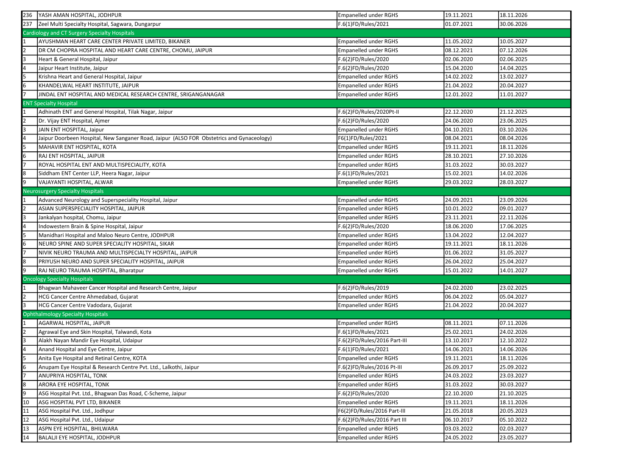| 236 | YASH AMAN HOSPITAL, JODHPUR                                                               | <b>Empanelled under RGHS</b> | 19.11.2021 | 18.11.2026 |
|-----|-------------------------------------------------------------------------------------------|------------------------------|------------|------------|
| 237 | Zeel Multi Specialty Hospital, Sagwara, Dungarpur                                         | F.6(1)FD/Rules/2021          | 01.07.2021 | 30.06.2026 |
|     | Cardiology and CT Surgery Specialty Hospitals                                             |                              |            |            |
|     | AYUSHMAN HEART CARE CENTER PRIVATE LIMITED, BIKANER                                       | <b>Empanelled under RGHS</b> | 11.05.2022 | 10.05.2027 |
|     | DR CM CHOPRA HOSPITAL AND HEART CARE CENTRE, CHOMU, JAIPUR                                | <b>Empanelled under RGHS</b> | 08.12.2021 | 07.12.2026 |
|     | Heart & General Hospital, Jaipur                                                          | F.6(2)FD/Rules/2020          | 02.06.2020 | 02.06.2025 |
|     | Jaipur Heart Institute, Jaipur                                                            | F.6(2)FD/Rules/2020          | 15.04.2020 | 14.04.2025 |
| l5  | Krishna Heart and General Hospital, Jaipur                                                | Empanelled under RGHS        | 14.02.2022 | 13.02.2027 |
| l6  | KHANDELWAL HEART INSTITUTE, JAIPUR                                                        | Empanelled under RGHS        | 21.04.2022 | 20.04.2027 |
|     | JINDAL ENT HOSPITAL AND MEDICAL RESEARCH CENTRE, SRIGANGANAGAR                            | <b>Empanelled under RGHS</b> | 12.01.2022 | 11.01.2027 |
|     | <b>ENT Specialty Hospital</b>                                                             |                              |            |            |
|     | Adhinath ENT and General Hospital, Tilak Nagar, Jaipur                                    | F.6(2)FD/Rules/2020Pt-II     | 22.12.2020 | 21.12.2025 |
|     | Dr. Vijay ENT Hospital, Ajmer                                                             | F.6(2)FD/Rules/2020          | 24.06.2020 | 23.06.2025 |
|     | JAIN ENT HOSPITAL, Jaipur                                                                 | Empanelled under RGHS        | 04.10.2021 | 03.10.2026 |
|     | Jaipur Doorbeen Hospital, New Sanganer Road, Jaipur (ALSO FOR Obstetrics and Gynaceology) | F6(1)FD/Rules/2021           | 08.04.2021 | 08.04.2026 |
|     | MAHAVIR ENT HOSPITAL, KOTA                                                                | Empanelled under RGHS        | 19.11.2021 | 18.11.2026 |
| l6  | RAJ ENT HOSPITAL, JAIPUR                                                                  | Empanelled under RGHS        | 28.10.2021 | 27.10.2026 |
|     | ROYAL HOSPITAL ENT AND MULTISPECIALITY, KOTA                                              | <b>Empanelled under RGHS</b> | 31.03.2022 | 30.03.2027 |
| 18  | Siddham ENT Center LLP, Heera Nagar, Jaipur                                               | F.6(1)FD/Rules/2021          | 15.02.2021 | 14.02.2026 |
|     | VAJAYANTI HOSPITAL, ALWAR                                                                 | Empanelled under RGHS        | 29.03.2022 | 28.03.2027 |
|     | <b>Neurosurgery Specialty Hospitals</b>                                                   |                              |            |            |
|     | Advanced Neurology and Superspeciality Hospital, Jaipur                                   | <b>Empanelled under RGHS</b> | 24.09.2021 | 23.09.2026 |
|     | ASIAN SUPERSPECIALITY HOSPITAL, JAIPUR                                                    | <b>Empanelled under RGHS</b> | 10.01.2022 | 09.01.2027 |
|     | Jankalyan hospital, Chomu, Jaipur                                                         | <b>Empanelled under RGHS</b> | 23.11.2021 | 22.11.2026 |
|     | Indowestern Brain & Spine Hospital, Jaipur                                                | F.6(2)FD/Rules/2020          | 18.06.2020 | 17.06.2025 |
|     | Manidhari Hospital and Maloo Neuro Centre, JODHPUR                                        | Empanelled under RGHS        | 13.04.2022 | 12.04.2027 |
|     | NEURO SPINE AND SUPER SPECIALITY HOSPITAL, SIKAR                                          | Empanelled under RGHS        | 19.11.2021 | 18.11.2026 |
|     | NIVIK NEURO TRAUMA AND MULTISPECIALTY HOSPITAL, JAIPUR                                    | Empanelled under RGHS        | 01.06.2022 | 31.05.2027 |
| l8  | PRIYUSH NEURO AND SUPER SPECIALITY HOSPITAL, JAIPUR                                       | Empanelled under RGHS        | 26.04.2022 | 25.04.2027 |
|     | RAJ NEURO TRAUMA HOSPITAL, Bharatpur                                                      | Empanelled under RGHS        | 15.01.2022 | 14.01.2027 |
|     | <b>Oncology Specialty Hospitals</b>                                                       |                              |            |            |
|     | Bhagwan Mahaveer Cancer Hospital and Research Centre, Jaipur                              | F.6(2)FD/Rules/2019          | 24.02.2020 | 23.02.2025 |
|     | HCG Cancer Centre Ahmedabad, Gujarat                                                      | Empanelled under RGHS        | 06.04.2022 | 05.04.2027 |
|     | HCG Cancer Centre Vadodara, Gujarat                                                       | Empanelled under RGHS        | 21.04.2022 | 20.04.2027 |
|     | <b>Ophthalmology Specialty Hospitals</b>                                                  |                              |            |            |
|     | AGARWAL HOSPITAL, JAIPUR                                                                  | Empanelled under RGHS        | 08.11.2021 | 07.11.2026 |
|     | Agrawal Eye and Skin Hospital, Talwandi, Kota                                             | F.6(1)FD/Rules/2021          | 25.02.2021 | 24.02.2026 |
|     | Alakh Nayan Mandir Eye Hospital, Udaipur                                                  | F.6(2)FD/Rules/2016 Part-III | 13.10.2017 | 12.10.2022 |
|     | Anand Hospital and Eye Centre, Jaipur                                                     | F.6(1)FD/Rules/2021          | 14.06.2021 | 14.06.2026 |
| l5  | Anita Eye Hospital and Retinal Centre, KOTA                                               | Empanelled under RGHS        | 19.11.2021 | 18.11.2026 |
| 6   | Anupam Eye Hospital & Research Centre Pvt. Ltd., Lalkothi, Jaipur                         | F.6(2)FD/Rules/2016 Pt-III   | 26.09.2017 | 25.09.2022 |
|     | ANUPRIYA HOSPITAL, TONK                                                                   | Empanelled under RGHS        | 24.03.2022 | 23.03.2027 |
| 8   | ARORA EYE HOSPITAL, TONK                                                                  | <b>Empanelled under RGHS</b> | 31.03.2022 | 30.03.2027 |
| l9  | ASG Hospital Pvt. Ltd., Bhagwan Das Road, C-Scheme, Jaipur                                | F.6(2)FD/Rules/2020          | 22.10.2020 | 21.10.2025 |
| 10  | ASG HOSPITAL PVT LTD, BIKANER                                                             | Empanelled under RGHS        | 19.11.2021 | 18.11.2026 |
| 11  | ASG Hospital Pvt. Ltd., Jodhpur                                                           | F6(2)FD/Rules/2016 Part-III  | 21.05.2018 | 20.05.2023 |
| 12  | ASG Hospital Pvt. Ltd., Udaipur                                                           | F.6(2)FD/Rules/2016 Part III | 06.10.2017 | 05.10.2022 |
| 13  | ASPN EYE HOSPITAL, BHILWARA                                                               | Empanelled under RGHS        | 03.03.2022 | 02.03.2027 |
| 14  |                                                                                           |                              |            |            |
|     | BALALJI EYE HOSPITAL, JODHPUR                                                             | Empanelled under RGHS        | 24.05.2022 | 23.05.2027 |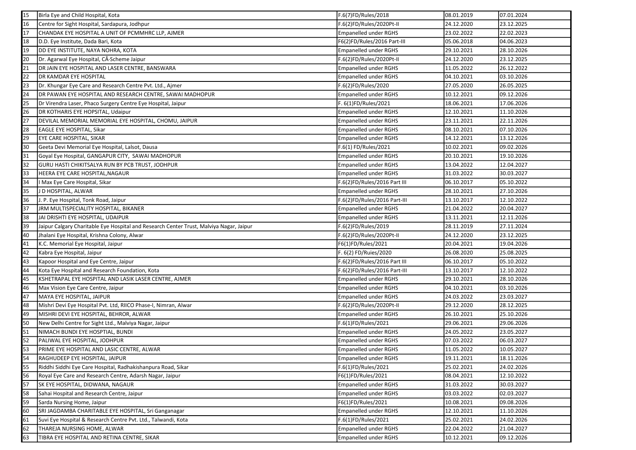| 15 | Birla Eye and Child Hospital, Kota                                                      | F.6(7)FD/Rules/2018          | 08.01.2019 | 07.01.2024 |
|----|-----------------------------------------------------------------------------------------|------------------------------|------------|------------|
| 16 | Centre for Sight Hospital, Sardapura, Jodhpur                                           | F.6(2)FD/Rules/2020Pt-II     | 24.12.2020 | 23.12.2025 |
| 17 | CHANDAK EYE HOSPITAL A UNIT OF PCMMHRC LLP, AJMER                                       | <b>Empanelled under RGHS</b> | 23.02.2022 | 22.02.2023 |
| 18 | D.D. Eye Institute, Dada Bari, Kota                                                     | F6(2)FD/Rules/2016 Part-III  | 05.06.2018 | 04.06.2023 |
| 19 | DD EYE INSTITUTE, NAYA NOHRA, KOTA                                                      | <b>Empanelled under RGHS</b> | 29.10.2021 | 28.10.2026 |
| 20 | Dr. Agarwal Eye Hospital, CÂ Scheme Jaipur                                              | F.6(2)FD/Rules/2020Pt-II     | 24.12.2020 | 23.12.2025 |
| 21 | DR JAIN EYE HOSPITAL AND LASER CENTRE, BANSWARA                                         | <b>Empanelled under RGHS</b> | 11.05.2022 | 26.12.2022 |
| 22 | <b>DR KAMDAR EYE HOSPITAL</b>                                                           | Empanelled under RGHS        | 04.10.2021 | 03.10.2026 |
| 23 | Dr. Khungar Eye Care and Research Centre Pvt. Ltd., Ajmer                               | F.6(2)FD/Rules/2020          | 27.05.2020 | 26.05.2025 |
| 24 | DR PAWAN EYE HOSPITAL AND RESEARCH CENTRE, SAWAI MADHOPUR                               | <b>Empanelled under RGHS</b> | 10.12.2021 | 09.12.2026 |
| 25 | Dr Virendra Laser, Phaco Surgery Centre Eye Hospital, Jaipur                            | F. 6(1)FD/Rules/2021         | 18.06.2021 | 17.06.2026 |
| 26 | DR KOTHARIS EYE HOPSITAL, Udaipur                                                       | <b>Empanelled under RGHS</b> | 12.10.2021 | 11.10.2026 |
| 27 | DEVILAL MEMORIAL MEMORIAL EYE HOSPITAL, CHOMU, JAIPUR                                   | <b>Empanelled under RGHS</b> | 23.11.2021 | 22.11.2026 |
| 28 | <b>EAGLE EYE HOSPITAL, Sikar</b>                                                        | <b>Empanelled under RGHS</b> | 08.10.2021 | 07.10.2026 |
| 29 | EYE CARE HOSPITAL, SIKAR                                                                | <b>Empanelled under RGHS</b> | 14.12.2021 | 13.12.2026 |
| 30 | Geeta Devi Memorial Eye Hospital, Lalsot, Dausa                                         | F.6(1) FD/Rules/2021         | 10.02.2021 | 09.02.2026 |
| 31 | Goyal Eye Hospital, GANGAPUR CITY, SAWAI MADHOPUR                                       | <b>Empanelled under RGHS</b> | 20.10.2021 | 19.10.2026 |
| 32 | GURU HASTI CHIKITSALYA RUN BY PCB TRUST, JODHPUR                                        | Empanelled under RGHS        | 13.04.2022 | 12.04.2027 |
| 33 | HEERA EYE CARE HOSPITAL, NAGAUR                                                         | <b>Empanelled under RGHS</b> | 31.03.2022 | 30.03.2027 |
| 34 | l Max Eye Care Hospital, Sikar                                                          | F.6(2)FD/Rules/2016 Part III | 06.10.2017 | 05.10.2022 |
| 35 | J D HOSPITAL, ALWAR                                                                     | <b>Empanelled under RGHS</b> | 28.10.2021 | 27.10.2026 |
| 36 | J. P. Eye Hospital, Tonk Road, Jaipur                                                   | F.6(2)FD/Rules/2016 Part-III | 13.10.2017 | 12.10.2022 |
| 37 | JRM MULTISPECIALITY HOSPITAL, BIKANER                                                   | <b>Empanelled under RGHS</b> | 21.04.2022 | 20.04.2027 |
| 38 | JAI DRISHTI EYE HOSPITAL, UDAIPUR                                                       | <b>Empanelled under RGHS</b> | 13.11.2021 | 12.11.2026 |
| 39 | Jaipur Calgary Charitable Eye Hospital and Research Center Trust, Malviya Nagar, Jaipur | F.6(2)FD/Rules/2019          | 28.11.2019 | 27.11.2024 |
| 40 | Jhalani Eye Hospital, Krishna Colony, Alwar                                             | F.6(2)FD/Rules/2020Pt-II     | 24.12.2020 | 23.12.2025 |
| 41 | K.C. Memorial Eye Hospital, Jaipur                                                      | F6(1)FD/Rules/2021           | 20.04.2021 | 19.04.2026 |
| 42 | Kabra Eye Hospital, Jaipur                                                              | F. 6(2) FD/Ruies/2020        | 26.08.2020 | 25.08.2025 |
| 43 | Kapoor Hospital and Eye Centre, Jaipur                                                  | F.6(2)FD/Rules/2016 Part III | 06.10.2017 | 05.10.2022 |
| 44 | Kota Eye Hospital and Research Foundation, Kota                                         | F.6(2)FD/Rules/2016 Part-III | 13.10.2017 | 12.10.2022 |
| 45 | KSHETRAPAL EYE HOSPITAL AND LASIK LASER CENTRE, AJMER                                   | <b>Empanelled under RGHS</b> | 29.10.2021 | 28.10.2026 |
| 46 | Max Vision Eye Care Centre, Jaipur                                                      | <b>Empanelled under RGHS</b> | 04.10.2021 | 03.10.2026 |
| 47 | MAYA EYE HOSPITAL, JAIPUR                                                               | Empanelled under RGHS        | 24.03.2022 | 23.03.2027 |
| 48 | Mishri Devi Eye Hospital Pvt. Ltd, RIICO Phase-I, Nimran, Alwar                         | F.6(2)FD/Rules/2020Pt-II     | 29.12.2020 | 28.12.2025 |
| 49 | MISHRI DEVI EYE HOSPITAL, BEHROR, ALWAR                                                 | <b>Empanelled under RGHS</b> | 26.10.2021 | 25.10.2026 |
| 50 | New Delhi Centre for Sight Ltd., Malviya Nagar, Jaipur                                  | F.6(1)FD/Rules/2021          | 29.06.2021 | 29.06.2026 |
| 51 | NIMACH BUNDI EYE HOSPTIAL, BUNDI                                                        | <b>Empanelled under RGHS</b> | 24.05.2022 | 23.05.2027 |
| 52 | PALIWAL EYE HOSPITAL, JODHPUR                                                           | Empanelled under RGHS        | 07.03.2022 | 06.03.2027 |
|    | PRIME EYE HOSPITAL AND LASIC CENTRE, ALWAR                                              | <b>Empanelled under RGHS</b> | 11.05.2022 | 10.05.2027 |
| 54 | RAGHUDEEP EYE HOSPITAL, JAIPUR                                                          | Empanelled under RGHS        | 19.11.2021 | 18.11.2026 |
| 55 | Riddhi Siddhi Eye Care Hospital, Radhakishanpura Road, Sikar                            | F.6(1)FD/Rules/2021          | 25.02.2021 | 24.02.2026 |
| 56 | Royal Eye Care and Research Centre, Adarsh Nagar, Jaipur                                | F6(1)FD/Rules/2021           | 08.04.2021 | 12.10.2022 |
| 57 | SK EYE HOSPITAL, DIDWANA, NAGAUR                                                        | <b>Empanelled under RGHS</b> | 31.03.2022 | 30.03.2027 |
| 58 | Sahai Hospital and Research Centre, Jaipur                                              | <b>Empanelled under RGHS</b> | 03.03.2022 | 02.03.2027 |
| 59 | Sarda Nursing Home, Jaipur                                                              | F6(1)FD/Rules/2021           | 10.08.2021 | 09.08.2026 |
| 60 | SRI JAGDAMBA CHARITABLE EYE HOSPITAL, Sri Ganganagar                                    | <b>Empanelled under RGHS</b> | 12.10.2021 | 11.10.2026 |
| 61 | Suvi Eye Hospital & Research Centre Pvt. Ltd., Talwandi, Kota                           | F.6(1)FD/Rules/2021          | 25.02.2021 | 24.02.2026 |
| 62 | THAREJA NURSING HOME, ALWAR                                                             | <b>Empanelled under RGHS</b> | 22.04.2022 | 21.04.2027 |
| 63 | TIBRA EYE HOSPITAL AND RETINA CENTRE, SIKAR                                             | <b>Empanelled under RGHS</b> | 10.12.2021 | 09.12.2026 |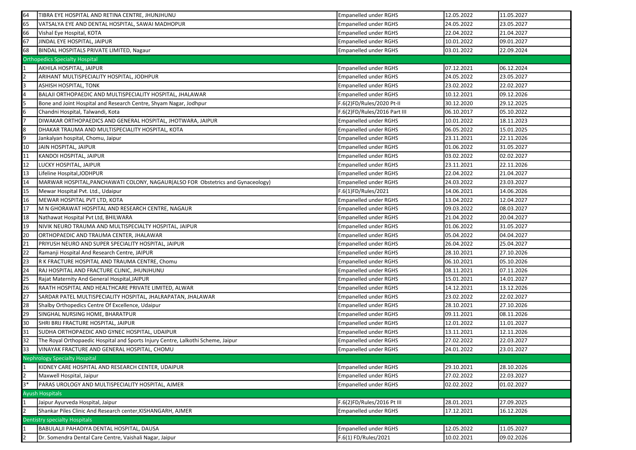| 64   | TIBRA EYE HOSPITAL AND RETINA CENTRE, JHUNJHUNU                                  | <b>Empanelled under RGHS</b> | 12.05.2022 | 11.05.2027 |
|------|----------------------------------------------------------------------------------|------------------------------|------------|------------|
| 65   | VATSALYA EYE AND DENTAL HOSPITAL, SAWAI MADHOPUR                                 | <b>Empanelled under RGHS</b> | 24.05.2022 | 23.05.2027 |
| 66   | Vishal Eye Hospital, KOTA                                                        | <b>Empanelled under RGHS</b> | 22.04.2022 | 21.04.2027 |
| 67   | JINDAL EYE HOSPITAL, JAIPUR                                                      | <b>Empanelled under RGHS</b> | 10.01.2022 | 09.01.2027 |
| 68   | <b>BINDAL HOSPITALS PRIVATE LIMITED, Nagaur</b>                                  | Empanelled under RGHS        | 03.01.2022 | 22.09.2024 |
|      | <b>Orthopedics Specialty Hospital</b>                                            |                              |            |            |
|      | AKHILA HOSPITAL, JAIPUR                                                          | <b>Empanelled under RGHS</b> | 07.12.2021 | 06.12.2024 |
|      | ARIHANT MULTISPECIALITY HOSPITAL, JODHPUR                                        | <b>Empanelled under RGHS</b> | 24.05.2022 | 23.05.2027 |
|      | <b>ASHISH HOSPITAL, TONK</b>                                                     | <b>Empanelled under RGHS</b> | 23.02.2022 | 22.02.2027 |
|      | BALAJI ORTHOPAEDIC AND MULTISPECIALITY HOSPITAL, JHALAWAR                        | <b>Empanelled under RGHS</b> | 10.12.2021 | 09.12.2026 |
|      | Bone and Joint Hospital and Research Centre, Shyam Nagar, Jodhpur                | F.6(2)FD/Rules/2020 Pt-II    | 30.12.2020 | 29.12.2025 |
|      | Chandni Hospital, Talwandi, Kota                                                 | F.6(2)FD/Rules/2016 Part III | 06.10.2017 | 05.10.2022 |
|      | DIWAKAR ORTHOPAEDICS AND GENERAL HOSPITAL, JHOTWARA, JAIPUR                      | <b>Empanelled under RGHS</b> | 10.01.2022 | 18.11.2023 |
|      | DHAKAR TRAUMA AND MULTISPECIALITY HOSPITAL, KOTA                                 | <b>Empanelled under RGHS</b> | 06.05.2022 | 15.01.2025 |
|      | Jankalyan hospital, Chomu, Jaipur                                                | <b>Empanelled under RGHS</b> | 23.11.2021 | 22.11.2026 |
| 10   | JAIN HOSPITAL, JAIPUR                                                            | <b>Empanelled under RGHS</b> | 01.06.2022 | 31.05.2027 |
| 11   | KANDOI HOSPITAL, JAIPUR                                                          | <b>Empanelled under RGHS</b> | 03.02.2022 | 02.02.2027 |
| 12   | LUCKY HOSPITAL, JAIPUR                                                           | <b>Empanelled under RGHS</b> | 23.11.2021 | 22.11.2026 |
| 13   | Lifeline Hospital,JODHPUR                                                        | <b>Empanelled under RGHS</b> | 22.04.2022 | 21.04.2027 |
| 14   | MARWAR HOSPITAL, PANCHAWATI COLONY, NAGAUR (ALSO FOR Obstetrics and Gynaceology) | <b>Empanelled under RGHS</b> | 24.03.2022 | 23.03.2027 |
| 15   | Mewar Hospital Pvt. Ltd., Udaipur                                                | F.6(1)FD/Rules/2021          | 14.06.2021 | 14.06.2026 |
| 16   | MEWAR HOSPITAL PVT LTD, KOTA                                                     | <b>Empanelled under RGHS</b> | 13.04.2022 | 12.04.2027 |
| 17   | M N GHORAWAT HOSPITAL AND RESEARCH CENTRE, NAGAUR                                | <b>Empanelled under RGHS</b> | 09.03.2022 | 08.03.2027 |
| 18   | Nathawat Hospital Pvt Ltd, BHILWARA                                              | <b>Empanelled under RGHS</b> | 21.04.2022 | 20.04.2027 |
| 19   | NIVIK NEURO TRAUMA AND MULTISPECIALTY HOSPITAL, JAIPUR                           | <b>Empanelled under RGHS</b> | 01.06.2022 | 31.05.2027 |
| 20   | ORTHOPAEDIC AND TRAUMA CENTER, JHALAWAR                                          | <b>Empanelled under RGHS</b> | 05.04.2022 | 04.04.2027 |
| 21   | PRIYUSH NEURO AND SUPER SPECIALITY HOSPITAL, JAIPUR                              | <b>Empanelled under RGHS</b> | 26.04.2022 | 25.04.2027 |
| 22   | Ramanji Hospital And Research Centre, JAIPUR                                     | <b>Empanelled under RGHS</b> | 28.10.2021 | 27.10.2026 |
| 23   | R K FRACTURE HOSPITAL AND TRAUMA CENTRE, Chomu                                   | <b>Empanelled under RGHS</b> | 06.10.2021 | 05.10.2026 |
| 24   | RAJ HOSPITAL AND FRACTURE CLINIC, JHUNJHUNU                                      | <b>Empanelled under RGHS</b> | 08.11.2021 | 07.11.2026 |
| 25   | Rajat Maternity And General Hospital, JAIPUR                                     | <b>Empanelled under RGHS</b> | 15.01.2021 | 14.01.2027 |
| 26   | RAATH HOSPITAL AND HEALTHCARE PRIVATE LIMITED, ALWAR                             | <b>Empanelled under RGHS</b> | 14.12.2021 | 13.12.2026 |
| 27   | SARDAR PATEL MULTISPECIALITY HOSPITAL, JHALRAPATAN, JHALAWAR                     | <b>Empanelled under RGHS</b> | 23.02.2022 | 22.02.2027 |
| 28   | Shalby Orthopedics Centre Of Excellence, Udaipur                                 | <b>Empanelled under RGHS</b> | 28.10.2021 | 27.10.2026 |
| 29   | SINGHAL NURSING HOME, BHARATPUR                                                  | <b>Empanelled under RGHS</b> | 09.11.2021 | 08.11.2026 |
| 30   | SHRI BRIJ FRACTURE HOSPITAL, JAIPUR                                              | <b>Empanelled under RGHS</b> | 12.01.2022 | 11.01.2027 |
| 31   | SUDHA ORTHOPAEDIC AND GYNEC HOSPITAL, UDAIPUR                                    | <b>Empanelled under RGHS</b> | 13.11.2021 | 12.11.2026 |
| 32   | The Royal Orthopaedic Hospital and Sports Injury Centre, Lalkothi Scheme, Jaipur | <b>Empanelled under RGHS</b> | 27.02.2022 | 22.03.2027 |
|      | VINAYAK FRACTURE AND GENERAL HOSPITAL, CHOMU                                     | <b>Empanelled under RGHS</b> | 24.01.2022 | 23.01.2027 |
|      | <b>Nephrology Specialty Hospital</b>                                             |                              |            |            |
|      | KIDNEY CARE HOSPITAL AND RESEARCH CENTER, UDAIPUR                                | <b>Empanelled under RGHS</b> | 29.10.2021 | 28.10.2026 |
|      | Maxwell Hospital, Jaipur                                                         | <b>Empanelled under RGHS</b> | 27.02.2022 | 22.03.2027 |
| $3*$ | PARAS UROLOGY AND MULTISPECIALITY HOSPITAL, AJMER                                | Empanelled under RGHS        | 02.02.2022 | 01.02.2027 |
|      |                                                                                  |                              |            |            |
|      | <b>Ayush Hospitals</b>                                                           |                              |            |            |
|      | Jaipur Ayurveda Hospital, Jaipur                                                 | F.6(2)FD/Rules/2016 Pt III   | 28.01.2021 | 27.09.2025 |
|      | Shankar Piles Clinic And Research center, KISHANGARH, AJMER                      | <b>Empanelled under RGHS</b> | 17.12.2021 | 16.12.2026 |
|      | <b>Dentistry specialty Hospitals</b>                                             |                              |            |            |
|      | BABULALJI PAHADIYA DENTAL HOSPITAL, DAUSA                                        | <b>Empanelled under RGHS</b> | 12.05.2022 | 11.05.2027 |
|      | Dr. Somendra Dental Care Centre, Vaishali Nagar, Jaipur                          | F.6(1) FD/Rules/2021         | 10.02.2021 | 09.02.2026 |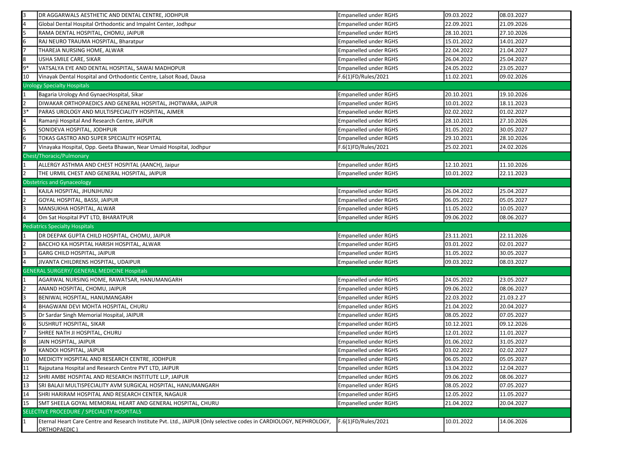| 3    | DR AGGARWALS AESTHETIC AND DENTAL CENTRE, JODHPUR                                                                                   | Empanelled under RGHS        | 09.03.2022 | 08.03.2027 |
|------|-------------------------------------------------------------------------------------------------------------------------------------|------------------------------|------------|------------|
|      | Global Dental Hospital Orthodontic and Impaint Center, Jodhpur                                                                      | <b>Empanelled under RGHS</b> | 22.09.2021 | 21.09.2026 |
| 5    | RAMA DENTAL HOSPITAL, CHOMU, JAIPUR                                                                                                 | Empanelled under RGHS        | 28.10.2021 | 27.10.2026 |
| 6    | RAJ NEURO TRAUMA HOSPITAL, Bharatpur                                                                                                | Empanelled under RGHS        | 15.01.2022 | 14.01.2027 |
|      | THAREJA NURSING HOME, ALWAR                                                                                                         | Empanelled under RGHS        | 22.04.2022 | 21.04.2027 |
| 8    | USHA SMILE CARE, SIKAR                                                                                                              | Empanelled under RGHS        | 26.04.2022 | 25.04.2027 |
| $9*$ | VATSALYA EYE AND DENTAL HOSPITAL, SAWAI MADHOPUR                                                                                    | Empanelled under RGHS        | 24.05.2022 | 23.05.2027 |
| 10   | Vinayak Dental Hospital and Orthodontic Centre, Lalsot Road, Dausa                                                                  | F.6(1)FD/Rules/2021          | 11.02.2021 | 09.02.2026 |
|      | <b>Urology Specialty Hospitals</b>                                                                                                  |                              |            |            |
|      | Bagaria Urology And GynaecHospital, Sikar                                                                                           | Empanelled under RGHS        | 20.10.2021 | 19.10.2026 |
| l2   | DIWAKAR ORTHOPAEDICS AND GENERAL HOSPITAL, JHOTWARA, JAIPUR                                                                         | Empanelled under RGHS        | 10.01.2022 | 18.11.2023 |
| lЗ*  | PARAS UROLOGY AND MULTISPECIALITY HOSPITAL, AJMER                                                                                   | Empanelled under RGHS        | 02.02.2022 | 01.02.2027 |
|      | Ramanji Hospital And Research Centre, JAIPUR                                                                                        | Empanelled under RGHS        | 28.10.2021 | 27.10.2026 |
| I5   | SONIDEVA HOSPITAL, JODHPUR                                                                                                          | Empanelled under RGHS        | 31.05.2022 | 30.05.2027 |
| 6    | TOKAS GASTRO AND SUPER SPECIALITY HOSPITAL                                                                                          | Empanelled under RGHS        | 29.10.2021 | 28.10.2026 |
|      | Vinayaka Hospital, Opp. Geeta Bhawan, Near Umaid Hospital, Jodhpur                                                                  | F.6(1)FD/Rules/2021          | 25.02.2021 | 24.02.2026 |
|      | Chest/Thoracic/Pulmonary                                                                                                            |                              |            |            |
|      | ALLERGY ASTHMA AND CHEST HOSPITAL (AANCH), Jaipur                                                                                   | Empanelled under RGHS        | 12.10.2021 | 11.10.2026 |
|      | THE URMIL CHEST AND GENERAL HOSPITAL, JAIPUR                                                                                        | <b>Empanelled under RGHS</b> | 10.01.2022 | 22.11.2023 |
|      | <b>Obstetrics and Gynaceology</b>                                                                                                   |                              |            |            |
|      | KAJLA HOSPITAL, JHUNJHUNU                                                                                                           | Empanelled under RGHS        | 26.04.2022 | 25.04.2027 |
|      | GOYAL HOSPITAL, BASSI, JAIPUR                                                                                                       | Empanelled under RGHS        | 06.05.2022 | 05.05.2027 |
| Iз   | MANSUKHA HOSPITAL, ALWAR                                                                                                            | Empanelled under RGHS        | 11.05.2022 | 10.05.2027 |
|      | Om Sat Hospital PVT LTD, BHARATPUR                                                                                                  | Empanelled under RGHS        | 09.06.2022 | 08.06.2027 |
|      | <b>Pediatrics Specialty Hospitals</b>                                                                                               |                              |            |            |
|      | DR DEEPAK GUPTA CHILD HOSPITAL, CHOMU, JAIPUR                                                                                       | Empanelled under RGHS        | 23.11.2021 | 22.11.2026 |
|      | BACCHO KA HOSPITAL HARISH HOSPITAL, ALWAR                                                                                           | Empanelled under RGHS        | 03.01.2022 | 02.01.2027 |
|      | GARG CHILD HOSPITAL, JAIPUR                                                                                                         | Empanelled under RGHS        | 31.05.2022 | 30.05.2027 |
|      | JIVANTA CHILDRENS HOSPITAL, UDAIPUR                                                                                                 | Empanelled under RGHS        | 09.03.2022 | 08.03.2027 |
|      | <b>GENERAL SURGERY/ GENERAL MEDICINE Hospitals</b>                                                                                  |                              |            |            |
|      | AGARWAL NURSING HOME, RAWATSAR, HANUMANGARH                                                                                         | Empanelled under RGHS        | 24.05.2022 | 23.05.2027 |
|      | ANAND HOSPITAL, CHOMU, JAIPUR                                                                                                       | Empanelled under RGHS        | 09.06.2022 | 08.06.2027 |
|      | BENIWAL HOSPITAL, HANUMANGARH                                                                                                       | Empanelled under RGHS        | 22.03.2022 | 21.03.2.27 |
|      | BHAGWANI DEVI MOHTA HOSPITAL, CHURU                                                                                                 | Empanelled under RGHS        | 21.04.2022 | 20.04.2027 |
|      | Dr Sardar Singh Memorial Hospital, JAIPUR                                                                                           | Empanelled under RGHS        | 08.05.2022 | 07.05.2027 |
| 16   | SUSHRUT HOSPITAL, SIKAR                                                                                                             | <b>Empanelled under RGHS</b> | 10.12.2021 | 09.12.2026 |
|      | SHREE NATH JI HOSPITAL, CHURU                                                                                                       | Empanelled under RGHS        | 12.01.2022 | 11.01.2027 |
|      | JAIN HOSPITAL, JAIPUR                                                                                                               | Empanelled under RGHS        | 01.06.2022 | 31.05.2027 |
|      | KANDOI HOSPITAL, JAIPUR                                                                                                             | Empanelled under RGHS        | 03.02.2022 | 02.02.2027 |
| 10   | MEDICITY HOSPITAL AND RESEARCH CENTRE, JODHPUR                                                                                      | Empanelled under RGHS        | 06.05.2022 | 05.05.2027 |
| 11   | Rajputana Hospital and Research Centre PVT LTD, JAIPUR                                                                              | Empanelled under RGHS        | 13.04.2022 | 12.04.2027 |
| 12   | SHRI AMBE HOSPITAL AND RESEARCH INSTITUTE LLP, JAIPUR                                                                               | Empanelled under RGHS        | 09.06.2022 | 08.06.2027 |
| 13   | SRI BALAJI MULTISPECIALITY AVM SURGICAL HOSPITAL, HANUMANGARH                                                                       | Empanelled under RGHS        | 08.05.2022 | 07.05.2027 |
| 14   | SHRI HARIRAM HOSPITAL AND RESEARCH CENTER, NAGAUR                                                                                   | Empanelled under RGHS        | 12.05.2022 | 11.05.2027 |
| 15   | SMT SHEELA GOYAL MEMORIAL HEART AND GENERAL HOSPITAL, CHURU                                                                         | Empanelled under RGHS        | 21.04.2022 | 20.04.2027 |
|      | SELECTIVE PROCEDURE / SPECIALITY HOSPITALS                                                                                          |                              |            |            |
| 11   | Eternal Heart Care Centre and Research Institute Pvt. Ltd., JAIPUR (Only selective codes in CARDIOLOGY, NEPHROLOGY,<br>ORTHOPAEDIC) | F.6(1)FD/Rules/2021          | 10.01.2022 | 14.06.2026 |
|      |                                                                                                                                     |                              |            |            |